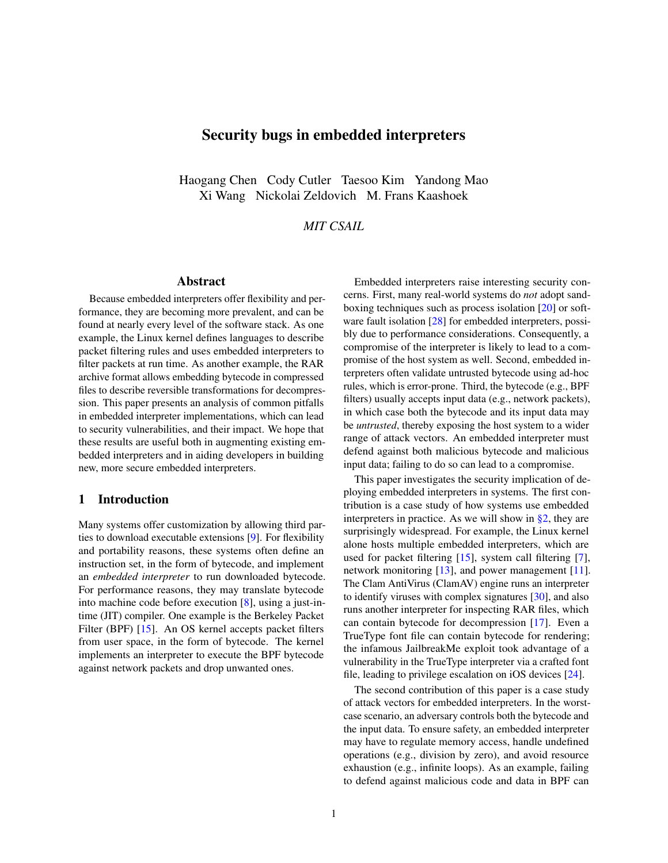# Security bugs in embedded interpreters

Haogang Chen Cody Cutler Taesoo Kim Yandong Mao Xi Wang Nickolai Zeldovich M. Frans Kaashoek

*MIT CSAIL*

# Abstract

Because embedded interpreters offer flexibility and performance, they are becoming more prevalent, and can be found at nearly every level of the software stack. As one example, the Linux kernel defines languages to describe packet filtering rules and uses embedded interpreters to filter packets at run time. As another example, the RAR archive format allows embedding bytecode in compressed files to describe reversible transformations for decompression. This paper presents an analysis of common pitfalls in embedded interpreter implementations, which can lead to security vulnerabilities, and their impact. We hope that these results are useful both in augmenting existing embedded interpreters and in aiding developers in building new, more secure embedded interpreters.

### 1 Introduction

Many systems offer customization by allowing third parties to download executable extensions [\[9\]](#page-6-0). For flexibility and portability reasons, these systems often define an instruction set, in the form of bytecode, and implement an *embedded interpreter* to run downloaded bytecode. For performance reasons, they may translate bytecode into machine code before execution [\[8\]](#page-6-1), using a just-intime (JIT) compiler. One example is the Berkeley Packet Filter (BPF) [\[15\]](#page-6-2). An OS kernel accepts packet filters from user space, in the form of bytecode. The kernel implements an interpreter to execute the BPF bytecode against network packets and drop unwanted ones.

Embedded interpreters raise interesting security concerns. First, many real-world systems do *not* adopt sandboxing techniques such as process isolation [\[20\]](#page-6-3) or software fault isolation [\[28\]](#page-6-4) for embedded interpreters, possibly due to performance considerations. Consequently, a compromise of the interpreter is likely to lead to a compromise of the host system as well. Second, embedded interpreters often validate untrusted bytecode using ad-hoc rules, which is error-prone. Third, the bytecode (e.g., BPF filters) usually accepts input data (e.g., network packets), in which case both the bytecode and its input data may be *untrusted*, thereby exposing the host system to a wider range of attack vectors. An embedded interpreter must defend against both malicious bytecode and malicious input data; failing to do so can lead to a compromise.

This paper investigates the security implication of deploying embedded interpreters in systems. The first contribution is a case study of how systems use embedded interpreters in practice. As we will show in  $\S$ 2, they are surprisingly widespread. For example, the Linux kernel alone hosts multiple embedded interpreters, which are used for packet filtering [\[15\]](#page-6-2), system call filtering [\[7\]](#page-6-5), network monitoring [\[13\]](#page-6-6), and power management [\[11\]](#page-6-7). The Clam AntiVirus (ClamAV) engine runs an interpreter to identify viruses with complex signatures [\[30\]](#page-6-8), and also runs another interpreter for inspecting RAR files, which can contain bytecode for decompression [\[17\]](#page-6-9). Even a TrueType font file can contain bytecode for rendering; the infamous JailbreakMe exploit took advantage of a vulnerability in the TrueType interpreter via a crafted font file, leading to privilege escalation on iOS devices [\[24\]](#page-6-10).

The second contribution of this paper is a case study of attack vectors for embedded interpreters. In the worstcase scenario, an adversary controls both the bytecode and the input data. To ensure safety, an embedded interpreter may have to regulate memory access, handle undefined operations (e.g., division by zero), and avoid resource exhaustion (e.g., infinite loops). As an example, failing to defend against malicious code and data in BPF can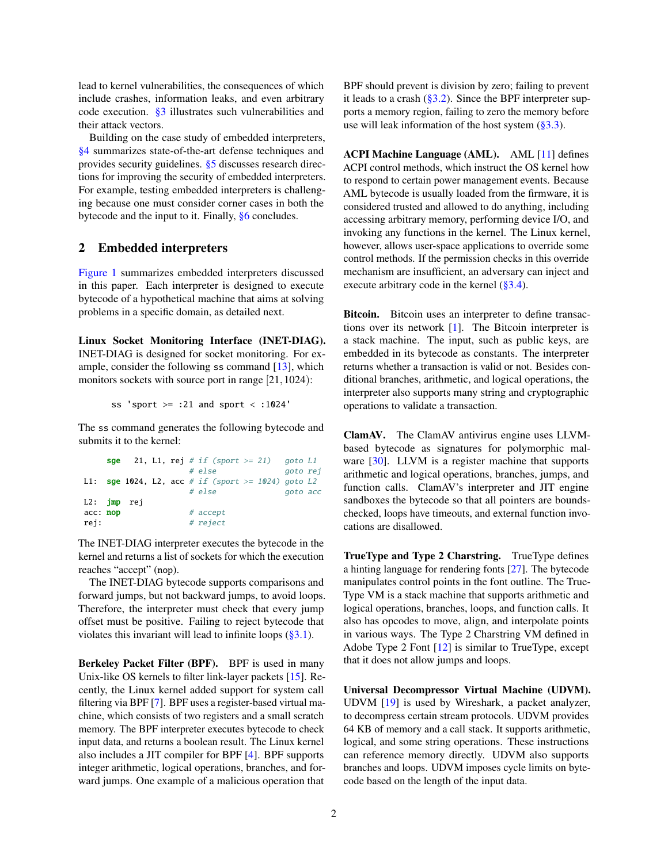lead to kernel vulnerabilities, the consequences of which include crashes, information leaks, and even arbitrary code execution. [§3](#page-2-0) illustrates such vulnerabilities and their attack vectors.

Building on the case study of embedded interpreters, [§4](#page-4-0) summarizes state-of-the-art defense techniques and provides security guidelines. [§5](#page-5-0) discusses research directions for improving the security of embedded interpreters. For example, testing embedded interpreters is challenging because one must consider corner cases in both the bytecode and the input to it. Finally, [§6](#page-5-1) concludes.

### <span id="page-1-0"></span>2 Embedded interpreters

[Figure 1](#page-2-1) summarizes embedded interpreters discussed in this paper. Each interpreter is designed to execute bytecode of a hypothetical machine that aims at solving problems in a specific domain, as detailed next.

Linux Socket Monitoring Interface (INET-DIAG). INET-DIAG is designed for socket monitoring. For example, consider the following ss command [\[13\]](#page-6-6), which monitors sockets with source port in range [21, 1024):

ss 'sport >= :21 and sport < :1024'

The ss command generates the following bytecode and submits it to the kernel:

|                               |     |  | sge 21, L1, rej # if (sport >= 21) goto L1         |  |          |  |
|-------------------------------|-----|--|----------------------------------------------------|--|----------|--|
|                               |     |  | $#$ else                                           |  | goto rej |  |
|                               |     |  | L1: sge 1024, L2, acc # if (sport >= 1024) goto L2 |  |          |  |
|                               |     |  | $#$ else                                           |  | goto acc |  |
| $L2:$ $\overline{\text{imp}}$ | rei |  |                                                    |  |          |  |
| acc: nop                      |     |  | # accept                                           |  |          |  |
| rej:                          |     |  | $#$ reject                                         |  |          |  |

The INET-DIAG interpreter executes the bytecode in the kernel and returns a list of sockets for which the execution reaches "accept" (nop).

The INET-DIAG bytecode supports comparisons and forward jumps, but not backward jumps, to avoid loops. Therefore, the interpreter must check that every jump offset must be positive. Failing to reject bytecode that violates this invariant will lead to infinite loops  $(\S3.1)$ .

Berkeley Packet Filter (BPF). BPF is used in many Unix-like OS kernels to filter link-layer packets [\[15\]](#page-6-2). Recently, the Linux kernel added support for system call filtering via BPF [\[7\]](#page-6-5). BPF uses a register-based virtual machine, which consists of two registers and a small scratch memory. The BPF interpreter executes bytecode to check input data, and returns a boolean result. The Linux kernel also includes a JIT compiler for BPF [\[4\]](#page-6-11). BPF supports integer arithmetic, logical operations, branches, and forward jumps. One example of a malicious operation that

BPF should prevent is division by zero; failing to prevent it leads to a crash  $(\frac{83.2}{3})$ . Since the BPF interpreter supports a memory region, failing to zero the memory before use will leak information of the host system [\(§3.3\)](#page-3-0).

ACPI Machine Language (AML). AML [\[11\]](#page-6-7) defines ACPI control methods, which instruct the OS kernel how to respond to certain power management events. Because AML bytecode is usually loaded from the firmware, it is considered trusted and allowed to do anything, including accessing arbitrary memory, performing device I/O, and invoking any functions in the kernel. The Linux kernel, however, allows user-space applications to override some control methods. If the permission checks in this override mechanism are insufficient, an adversary can inject and execute arbitrary code in the kernel [\(§3.4\)](#page-3-1).

Bitcoin. Bitcoin uses an interpreter to define transactions over its network [\[1\]](#page-6-12). The Bitcoin interpreter is a stack machine. The input, such as public keys, are embedded in its bytecode as constants. The interpreter returns whether a transaction is valid or not. Besides conditional branches, arithmetic, and logical operations, the interpreter also supports many string and cryptographic operations to validate a transaction.

ClamAV. The ClamAV antivirus engine uses LLVMbased bytecode as signatures for polymorphic mal-ware [\[30\]](#page-6-8). LLVM is a register machine that supports arithmetic and logical operations, branches, jumps, and function calls. ClamAV's interpreter and JIT engine sandboxes the bytecode so that all pointers are boundschecked, loops have timeouts, and external function invocations are disallowed.

TrueType and Type 2 Charstring. TrueType defines a hinting language for rendering fonts [\[27\]](#page-6-13). The bytecode manipulates control points in the font outline. The True-Type VM is a stack machine that supports arithmetic and logical operations, branches, loops, and function calls. It also has opcodes to move, align, and interpolate points in various ways. The Type 2 Charstring VM defined in Adobe Type 2 Font [\[12\]](#page-6-14) is similar to TrueType, except that it does not allow jumps and loops.

Universal Decompressor Virtual Machine (UDVM). UDVM [\[19\]](#page-6-15) is used by Wireshark, a packet analyzer, to decompress certain stream protocols. UDVM provides 64 KB of memory and a call stack. It supports arithmetic, logical, and some string operations. These instructions can reference memory directly. UDVM also supports branches and loops. UDVM imposes cycle limits on bytecode based on the length of the input data.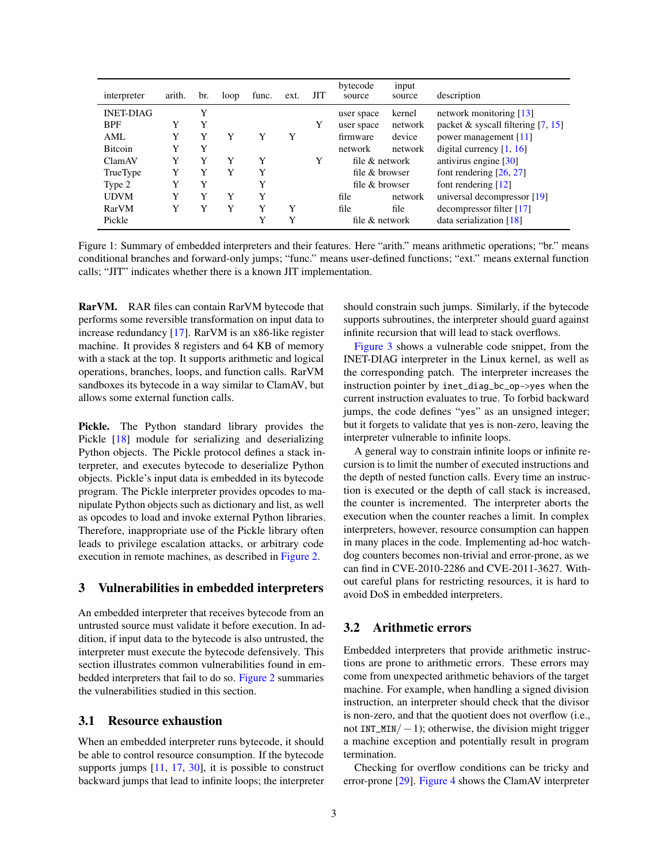| interpreter      | arith. | br. | loop | func. | ext. | ЛΤ | bytecode<br>source | input<br>source | description                          |
|------------------|--------|-----|------|-------|------|----|--------------------|-----------------|--------------------------------------|
| <b>INET-DIAG</b> |        | Y   |      |       |      |    | user space         | kernel          | network monitoring $[13]$            |
| <b>BPF</b>       | Y      | Y   |      |       |      | Y  | user space         | network         | packet & syscall filtering $[7, 15]$ |
| AML              | Y      | Y   | Y    | Y     | Y    |    | firmware           | device          | power management [11]                |
| <b>Bitcoin</b>   | Y      | Y   |      |       |      |    | network            | network         | digital currency $[1, 16]$           |
| ClamAV           | Y      | Y   | Y    | Y     |      | Y  | file & network     |                 | antivirus engine $[30]$              |
| TrueType         | Y      | Y   | Y    | Y     |      |    | file & browser     |                 | font rendering $[26, 27]$            |
| Type 2           | Y      | Y   |      | Y     |      |    | file $&$ browser   |                 | font rendering $[12]$                |
| <b>UDVM</b>      | Y      | Y   | Y    | Y     |      |    | file               | network         | universal decompressor [19]          |
| RarVM            | Y      | Y   | Y    | Y     | Y    |    | file               | file            | decompressor filter $[17]$           |
| Pickle           |        |     |      | Y     | Y    |    | file & network     |                 | data serialization $[18]$            |

<span id="page-2-1"></span>Figure 1: Summary of embedded interpreters and their features. Here "arith." means arithmetic operations; "br." means conditional branches and forward-only jumps; "func." means user-defined functions; "ext." means external function calls; "JIT" indicates whether there is a known JIT implementation.

RarVM. RAR files can contain RarVM bytecode that performs some reversible transformation on input data to increase redundancy [\[17\]](#page-6-9). RarVM is an x86-like register machine. It provides 8 registers and 64 KB of memory with a stack at the top. It supports arithmetic and logical operations, branches, loops, and function calls. RarVM sandboxes its bytecode in a way similar to ClamAV, but allows some external function calls.

Pickle. The Python standard library provides the Pickle [\[18\]](#page-6-18) module for serializing and deserializing Python objects. The Pickle protocol defines a stack interpreter, and executes bytecode to deserialize Python objects. Pickle's input data is embedded in its bytecode program. The Pickle interpreter provides opcodes to manipulate Python objects such as dictionary and list, as well as opcodes to load and invoke external Python libraries. Therefore, inappropriate use of the Pickle library often leads to privilege escalation attacks, or arbitrary code execution in remote machines, as described in [Figure 2.](#page-3-2)

### <span id="page-2-0"></span>3 Vulnerabilities in embedded interpreters

An embedded interpreter that receives bytecode from an untrusted source must validate it before execution. In addition, if input data to the bytecode is also untrusted, the interpreter must execute the bytecode defensively. This section illustrates common vulnerabilities found in embedded interpreters that fail to do so. [Figure 2](#page-3-2) summaries the vulnerabilities studied in this section.

## <span id="page-2-2"></span>3.1 Resource exhaustion

When an embedded interpreter runs bytecode, it should be able to control resource consumption. If the bytecode supports jumps [\[11,](#page-6-7) [17,](#page-6-9) [30\]](#page-6-8), it is possible to construct backward jumps that lead to infinite loops; the interpreter should constrain such jumps. Similarly, if the bytecode supports subroutines, the interpreter should guard against infinite recursion that will lead to stack overflows.

[Figure 3](#page-3-3) shows a vulnerable code snippet, from the INET-DIAG interpreter in the Linux kernel, as well as the corresponding patch. The interpreter increases the instruction pointer by inet\_diag\_bc\_op->yes when the current instruction evaluates to true. To forbid backward jumps, the code defines "yes" as an unsigned integer; but it forgets to validate that yes is non-zero, leaving the interpreter vulnerable to infinite loops.

A general way to constrain infinite loops or infinite recursion is to limit the number of executed instructions and the depth of nested function calls. Every time an instruction is executed or the depth of call stack is increased, the counter is incremented. The interpreter aborts the execution when the counter reaches a limit. In complex interpreters, however, resource consumption can happen in many places in the code. Implementing ad-hoc watchdog counters becomes non-trivial and error-prone, as we can find in CVE-2010-2286 and CVE-2011-3627. Without careful plans for restricting resources, it is hard to avoid DoS in embedded interpreters.

# <span id="page-2-3"></span>3.2 Arithmetic errors

Embedded interpreters that provide arithmetic instructions are prone to arithmetic errors. These errors may come from unexpected arithmetic behaviors of the target machine. For example, when handling a signed division instruction, an interpreter should check that the divisor is non-zero, and that the quotient does not overflow (i.e., not INT\_MIN $/$  - 1); otherwise, the division might trigger a machine exception and potentially result in program termination.

Checking for overflow conditions can be tricky and error-prone [\[29\]](#page-6-19). [Figure 4](#page-3-4) shows the ClamAV interpreter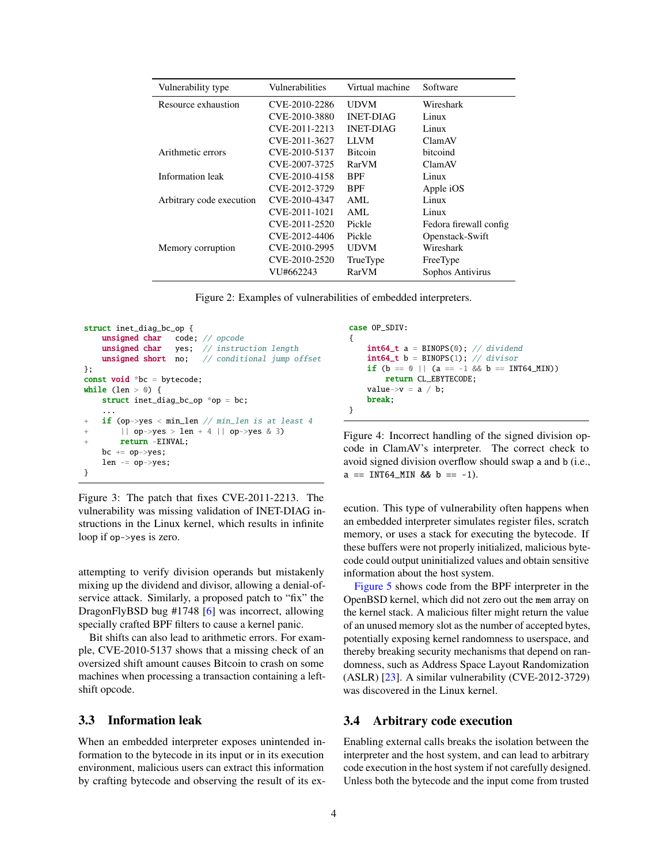| Vulnerability type       | Vulnerabilities | Virtual machine  | Software               |  |
|--------------------------|-----------------|------------------|------------------------|--|
| Resource exhaustion      | CVE-2010-2286   | <b>UDVM</b>      | Wireshark              |  |
|                          | CVE-2010-3880   | <b>INET-DIAG</b> | Linux                  |  |
|                          | CVE-2011-2213   | <b>INET-DIAG</b> | Linux                  |  |
|                          | CVE-2011-3627   | <b>LLVM</b>      | ClamAV                 |  |
| Arithmetic errors        | CVE-2010-5137   | <b>Bitcoin</b>   | bitcoind               |  |
|                          | CVE-2007-3725   | RarVM            | ClamAV                 |  |
| Information leak         | CVE-2010-4158   | <b>BPF</b>       | Linux                  |  |
|                          | CVE-2012-3729   | <b>BPF</b>       | Apple iOS              |  |
| Arbitrary code execution | CVE-2010-4347   | AML              | Linux                  |  |
|                          | CVE-2011-1021   | AML              | Linux                  |  |
|                          | CVE-2011-2520   | Pickle           | Fedora firewall config |  |
|                          | CVE-2012-4406   | Pickle           | Openstack-Swift        |  |
| Memory corruption        | CVE-2010-2995   | <b>UDVM</b>      | Wireshark              |  |
|                          | CVE-2010-2520   | <b>TrueType</b>  | FreeType               |  |
|                          | VU#662243       | RarVM            | Sophos Antivirus       |  |

<span id="page-3-2"></span>Figure 2: Examples of vulnerabilities of embedded interpreters.

```
struct inet_diag_bc_op {
    unsigned char code; // opcode
    unsigned char yes; // instruction length
    unsigned short no; // conditional jump offset
};
const void *bc = bytecode;
while (len > 0) {
    struct inet_diag_bc_op *op = bc;
    ...
    \textbf{if} (op->yes < min_len // min_len is at least 4
        || op->yes > len + 4 || op->yes & 3)
+ return -EINVAL;
    bc == op->yes;len -= op->yes;
}
```
<span id="page-3-3"></span>Figure 3: The patch that fixes CVE-2011-2213. The vulnerability was missing validation of INET-DIAG instructions in the Linux kernel, which results in infinite loop if op->yes is zero.

attempting to verify division operands but mistakenly mixing up the dividend and divisor, allowing a denial-ofservice attack. Similarly, a proposed patch to "fix" the DragonFlyBSD bug #1748 [\[6\]](#page-6-20) was incorrect, allowing specially crafted BPF filters to cause a kernel panic.

Bit shifts can also lead to arithmetic errors. For example, CVE-2010-5137 shows that a missing check of an oversized shift amount causes Bitcoin to crash on some machines when processing a transaction containing a leftshift opcode.

# <span id="page-3-0"></span>3.3 Information leak

When an embedded interpreter exposes unintended information to the bytecode in its input or in its execution environment, malicious users can extract this information by crafting bytecode and observing the result of its ex-

case OP\_SDIV: {  $int64_t a = BINOPS(0); // dividend$  $int64_t b = BIN0PS(1); // divisor$ if  $(b == 0 || (a == -1 \& b == INT64_MIN))$ return CL\_EBYTECODE; value- $>v = a / b$ ; break; }

<span id="page-3-4"></span>Figure 4: Incorrect handling of the signed division opcode in ClamAV's interpreter. The correct check to avoid signed division overflow should swap a and b (i.e.,  $a == INT64_MIN & b == -1$ .

ecution. This type of vulnerability often happens when an embedded interpreter simulates register files, scratch memory, or uses a stack for executing the bytecode. If these buffers were not properly initialized, malicious bytecode could output uninitialized values and obtain sensitive information about the host system.

[Figure 5](#page-4-1) shows code from the BPF interpreter in the OpenBSD kernel, which did not zero out the mem array on the kernel stack. A malicious filter might return the value of an unused memory slot as the number of accepted bytes, potentially exposing kernel randomness to userspace, and thereby breaking security mechanisms that depend on randomness, such as Address Space Layout Randomization (ASLR) [\[23\]](#page-6-21). A similar vulnerability (CVE-2012-3729) was discovered in the Linux kernel.

#### <span id="page-3-1"></span>3.4 Arbitrary code execution

Enabling external calls breaks the isolation between the interpreter and the host system, and can lead to arbitrary code execution in the host system if not carefully designed. Unless both the bytecode and the input come from trusted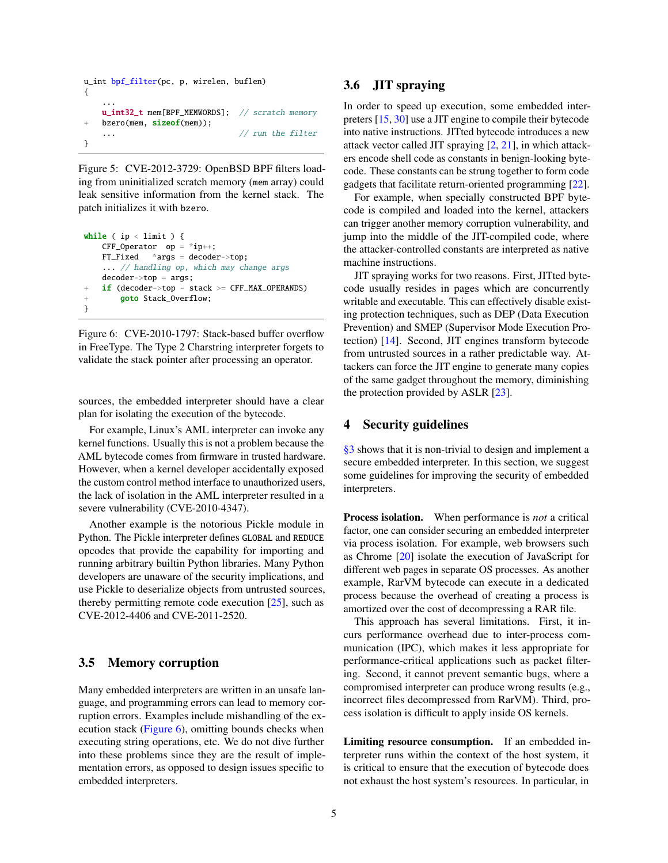```
u_int bpf_filter(pc, p, wirelen, buflen)
{
    ...
   u_int32_t mem[BPF_MEMWORDS]; // scratch memory
   bzero(mem, sizeof(mem));
   ... // run the filter
}
```
<span id="page-4-1"></span>Figure 5: CVE-2012-3729: OpenBSD BPF filters loading from uninitialized scratch memory (mem array) could leak sensitive information from the kernel stack. The patch initializes it with bzero.

```
while ( ip \langle limit ) {
    CFF\_Operator op = *ip++;FT_Fixed *args = decoder->top;
    ... // handling op, which may change args
    decoder->top = args;if (decoder->top - stack >= CFF_MAX_OPERANDS)
        goto Stack_Overflow;
}
```
<span id="page-4-2"></span>Figure 6: CVE-2010-1797: Stack-based buffer overflow in FreeType. The Type 2 Charstring interpreter forgets to validate the stack pointer after processing an operator.

sources, the embedded interpreter should have a clear plan for isolating the execution of the bytecode.

For example, Linux's AML interpreter can invoke any kernel functions. Usually this is not a problem because the AML bytecode comes from firmware in trusted hardware. However, when a kernel developer accidentally exposed the custom control method interface to unauthorized users, the lack of isolation in the AML interpreter resulted in a severe vulnerability (CVE-2010-4347).

Another example is the notorious Pickle module in Python. The Pickle interpreter defines GLOBAL and REDUCE opcodes that provide the capability for importing and running arbitrary builtin Python libraries. Many Python developers are unaware of the security implications, and use Pickle to deserialize objects from untrusted sources, thereby permitting remote code execution  $[25]$ , such as CVE-2012-4406 and CVE-2011-2520.

### 3.5 Memory corruption

Many embedded interpreters are written in an unsafe language, and programming errors can lead to memory corruption errors. Examples include mishandling of the execution stack [\(Figure 6\)](#page-4-2), omitting bounds checks when executing string operations, etc. We do not dive further into these problems since they are the result of implementation errors, as opposed to design issues specific to embedded interpreters.

# 3.6 JIT spraying

In order to speed up execution, some embedded interpreters [\[15,](#page-6-2) [30\]](#page-6-8) use a JIT engine to compile their bytecode into native instructions. JITted bytecode introduces a new attack vector called JIT spraying [\[2,](#page-6-23) [21\]](#page-6-24), in which attackers encode shell code as constants in benign-looking bytecode. These constants can be strung together to form code gadgets that facilitate return-oriented programming [\[22\]](#page-6-25).

For example, when specially constructed BPF bytecode is compiled and loaded into the kernel, attackers can trigger another memory corruption vulnerability, and jump into the middle of the JIT-compiled code, where the attacker-controlled constants are interpreted as native machine instructions.

JIT spraying works for two reasons. First, JITted bytecode usually resides in pages which are concurrently writable and executable. This can effectively disable existing protection techniques, such as DEP (Data Execution Prevention) and SMEP (Supervisor Mode Execution Protection) [\[14\]](#page-6-26). Second, JIT engines transform bytecode from untrusted sources in a rather predictable way. Attackers can force the JIT engine to generate many copies of the same gadget throughout the memory, diminishing the protection provided by ASLR [\[23\]](#page-6-21).

### <span id="page-4-0"></span>4 Security guidelines

[§3](#page-2-0) shows that it is non-trivial to design and implement a secure embedded interpreter. In this section, we suggest some guidelines for improving the security of embedded interpreters.

Process isolation. When performance is *not* a critical factor, one can consider securing an embedded interpreter via process isolation. For example, web browsers such as Chrome [\[20\]](#page-6-3) isolate the execution of JavaScript for different web pages in separate OS processes. As another example, RarVM bytecode can execute in a dedicated process because the overhead of creating a process is amortized over the cost of decompressing a RAR file.

This approach has several limitations. First, it incurs performance overhead due to inter-process communication (IPC), which makes it less appropriate for performance-critical applications such as packet filtering. Second, it cannot prevent semantic bugs, where a compromised interpreter can produce wrong results (e.g., incorrect files decompressed from RarVM). Third, process isolation is difficult to apply inside OS kernels.

Limiting resource consumption. If an embedded interpreter runs within the context of the host system, it is critical to ensure that the execution of bytecode does not exhaust the host system's resources. In particular, in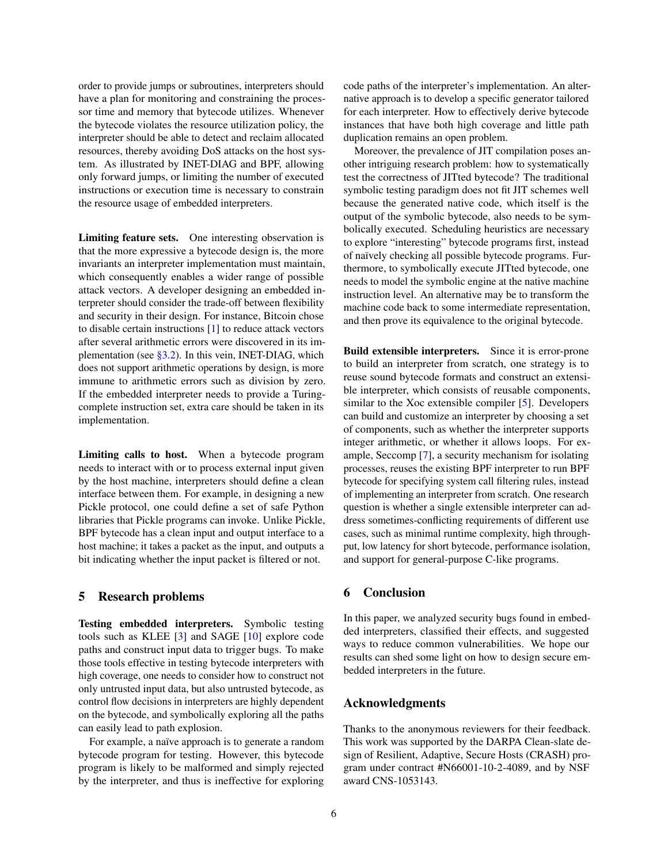order to provide jumps or subroutines, interpreters should have a plan for monitoring and constraining the processor time and memory that bytecode utilizes. Whenever the bytecode violates the resource utilization policy, the interpreter should be able to detect and reclaim allocated resources, thereby avoiding DoS attacks on the host system. As illustrated by INET-DIAG and BPF, allowing only forward jumps, or limiting the number of executed instructions or execution time is necessary to constrain the resource usage of embedded interpreters.

Limiting feature sets. One interesting observation is that the more expressive a bytecode design is, the more invariants an interpreter implementation must maintain, which consequently enables a wider range of possible attack vectors. A developer designing an embedded interpreter should consider the trade-off between flexibility and security in their design. For instance, Bitcoin chose to disable certain instructions [\[1\]](#page-6-12) to reduce attack vectors after several arithmetic errors were discovered in its implementation (see  $\S3.2$ ). In this vein, INET-DIAG, which does not support arithmetic operations by design, is more immune to arithmetic errors such as division by zero. If the embedded interpreter needs to provide a Turingcomplete instruction set, extra care should be taken in its implementation.

Limiting calls to host. When a bytecode program needs to interact with or to process external input given by the host machine, interpreters should define a clean interface between them. For example, in designing a new Pickle protocol, one could define a set of safe Python libraries that Pickle programs can invoke. Unlike Pickle, BPF bytecode has a clean input and output interface to a host machine; it takes a packet as the input, and outputs a bit indicating whether the input packet is filtered or not.

#### <span id="page-5-0"></span>5 Research problems

Testing embedded interpreters. Symbolic testing tools such as KLEE [\[3\]](#page-6-27) and SAGE [\[10\]](#page-6-28) explore code paths and construct input data to trigger bugs. To make those tools effective in testing bytecode interpreters with high coverage, one needs to consider how to construct not only untrusted input data, but also untrusted bytecode, as control flow decisions in interpreters are highly dependent on the bytecode, and symbolically exploring all the paths can easily lead to path explosion.

For example, a naïve approach is to generate a random bytecode program for testing. However, this bytecode program is likely to be malformed and simply rejected by the interpreter, and thus is ineffective for exploring code paths of the interpreter's implementation. An alternative approach is to develop a specific generator tailored for each interpreter. How to effectively derive bytecode instances that have both high coverage and little path duplication remains an open problem.

Moreover, the prevalence of JIT compilation poses another intriguing research problem: how to systematically test the correctness of JITted bytecode? The traditional symbolic testing paradigm does not fit JIT schemes well because the generated native code, which itself is the output of the symbolic bytecode, also needs to be symbolically executed. Scheduling heuristics are necessary to explore "interesting" bytecode programs first, instead of naïvely checking all possible bytecode programs. Furthermore, to symbolically execute JITted bytecode, one needs to model the symbolic engine at the native machine instruction level. An alternative may be to transform the machine code back to some intermediate representation, and then prove its equivalence to the original bytecode.

Build extensible interpreters. Since it is error-prone to build an interpreter from scratch, one strategy is to reuse sound bytecode formats and construct an extensible interpreter, which consists of reusable components, similar to the Xoc extensible compiler [\[5\]](#page-6-29). Developers can build and customize an interpreter by choosing a set of components, such as whether the interpreter supports integer arithmetic, or whether it allows loops. For example, Seccomp [\[7\]](#page-6-5), a security mechanism for isolating processes, reuses the existing BPF interpreter to run BPF bytecode for specifying system call filtering rules, instead of implementing an interpreter from scratch. One research question is whether a single extensible interpreter can address sometimes-conflicting requirements of different use cases, such as minimal runtime complexity, high throughput, low latency for short bytecode, performance isolation, and support for general-purpose C-like programs.

# <span id="page-5-1"></span>6 Conclusion

In this paper, we analyzed security bugs found in embedded interpreters, classified their effects, and suggested ways to reduce common vulnerabilities. We hope our results can shed some light on how to design secure embedded interpreters in the future.

### Acknowledgments

Thanks to the anonymous reviewers for their feedback. This work was supported by the DARPA Clean-slate design of Resilient, Adaptive, Secure Hosts (CRASH) program under contract #N66001-10-2-4089, and by NSF award CNS-1053143.